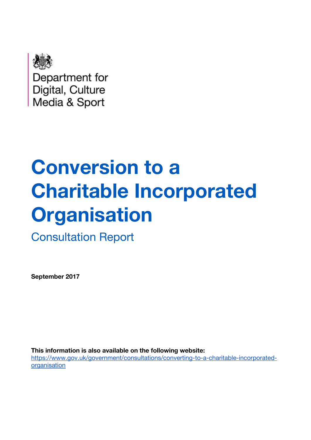

Department for<br>Digital, Culture Media & Sport

# **Conversion to a Charitable Incorporated Organisation**

Consultation Report

**September 2017**

**This information is also available on the following website:** [https://www.gov.uk/government/consultations/converting-to-a-charitable-incorporated](https://www.gov.uk/government/consultations/converting-to-a-charitable-incorporated-organisation)**[organisation](https://www.gov.uk/government/consultations/converting-to-a-charitable-incorporated-organisation)**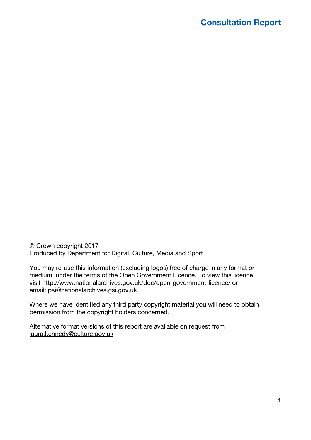© Crown copyright 2017 Produced by Department for Digital, Culture, Media and Sport

You may re-use this information (excluding logos) free of charge in any format or medium, under the terms of the Open Government Licence. To view this licence, visit<http://www.nationalarchives.gov.uk/doc/open-government-licence/> or email: [psi@nationalarchives.gsi.gov.uk](mailto:psi@nationalarchives.gsi.gov.uk)

Where we have identified any third party copyright material you will need to obtain permission from the copyright holders concerned.

Alternative format versions of this report are available on request from [laura.kennedy@culture.gov.uk](mailto:gabrielle.melvin@cabinetoffice.gov.uk)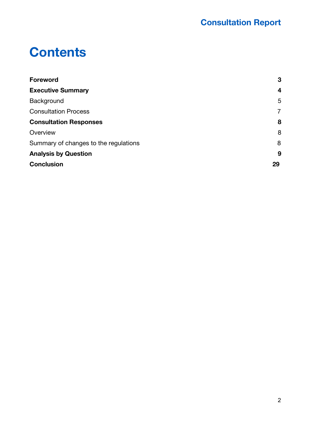# **Contents**

| <b>Foreword</b>                       | 3                |
|---------------------------------------|------------------|
| <b>Executive Summary</b>              | $\boldsymbol{4}$ |
| Background                            | 5                |
| <b>Consultation Process</b>           | $\overline{7}$   |
| <b>Consultation Responses</b>         | 8                |
| Overview                              | 8                |
| Summary of changes to the regulations | 8                |
| <b>Analysis by Question</b>           | 9                |
| <b>Conclusion</b>                     | 29               |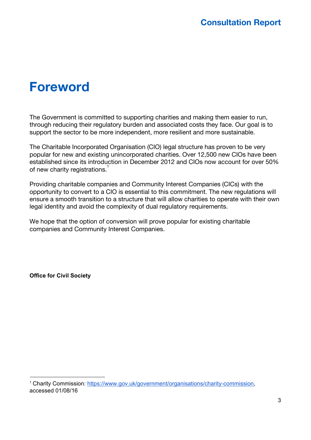# **Foreword**

The Government is committed to supporting charities and making them easier to run, through reducing their regulatory burden and associated costs they face. Our goal is to support the sector to be more independent, more resilient and more sustainable.

The Charitable Incorporated Organisation (CIO) legal structure has proven to be very popular for new and existing unincorporated charities. Over 12,500 new CIOs have been established since its introduction in December 2012 and CIOs now account for over 50% of new charity registrations.<sup>1</sup>

Providing charitable companies and Community Interest Companies (CICs) with the opportunity to convert to a CIO is essential to this commitment. The new regulations will ensure a smooth transition to a structure that will allow charities to operate with their own legal identity and avoid the complexity of dual regulatory requirements.

We hope that the option of conversion will prove popular for existing charitable companies and Community Interest Companies.

**Office for Civil Society**

<sup>&</sup>lt;sup>1</sup> Charity Commission: [https://www.gov.uk/government/organisations/charity-commission,](https://www.gov.uk/government/organisations/charity-commission) accessed 01/08/16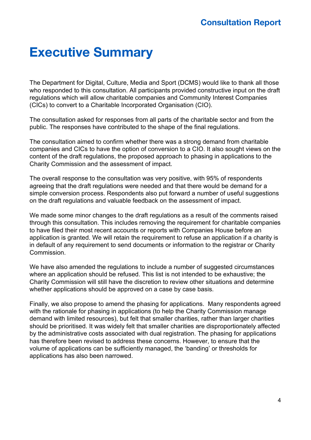# **Executive Summary**

The Department for Digital, Culture, Media and Sport (DCMS) would like to thank all those who responded to this consultation. All participants provided constructive input on the draft regulations which will allow charitable companies and Community Interest Companies (CICs) to convert to a Charitable Incorporated Organisation (CIO).

The consultation asked for responses from all parts of the charitable sector and from the public. The responses have contributed to the shape of the final regulations.

The consultation aimed to confirm whether there was a strong demand from charitable companies and CICs to have the option of conversion to a CIO. It also sought views on the content of the draft regulations, the proposed approach to phasing in applications to the Charity Commission and the assessment of impact.

The overall response to the consultation was very positive, with 95% of respondents agreeing that the draft regulations were needed and that there would be demand for a simple conversion process. Respondents also put forward a number of useful suggestions on the draft regulations and valuable feedback on the assessment of impact.

We made some minor changes to the draft regulations as a result of the comments raised through this consultation. This includes removing the requirement for charitable companies to have filed their most recent accounts or reports with Companies House before an application is granted. We will retain the requirement to refuse an application if a charity is in default of any requirement to send documents or information to the registrar or Charity Commission.

We have also amended the regulations to include a number of suggested circumstances where an application should be refused. This list is not intended to be exhaustive; the Charity Commission will still have the discretion to review other situations and determine whether applications should be approved on a case by case basis.

Finally, we also propose to amend the phasing for applications. Many respondents agreed with the rationale for phasing in applications (to help the Charity Commission manage demand with limited resources), but felt that smaller charities, rather than larger charities should be prioritised. It was widely felt that smaller charities are disproportionately affected by the administrative costs associated with dual registration. The phasing for applications has therefore been revised to address these concerns. However, to ensure that the volume of applications can be sufficiently managed, the 'banding' or thresholds for applications has also been narrowed.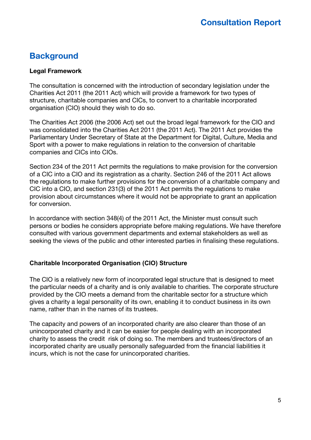# **Background**

#### **Legal Framework**

The consultation is concerned with the introduction of secondary legislation under the Charities Act 2011 (the 2011 Act) which will provide a framework for two types of structure, charitable companies and CICs, to convert to a charitable incorporated organisation (CIO) should they wish to do so.

The Charities Act 2006 (the 2006 Act) set out the broad legal framework for the CIO and was consolidated into the Charities Act 2011 (the 2011 Act). The 2011 Act provides the Parliamentary Under Secretary of State at the Department for Digital, Culture, Media and Sport with a power to make regulations in relation to the conversion of charitable companies and CICs into CIOs.

Section 234 of the 2011 Act permits the regulations to make provision for the conversion of a CIC into a CIO and its registration as a charity. Section 246 of the 2011 Act allows the regulations to make further provisions for the conversion of a charitable company and CIC into a CIO, and section 231(3) of the 2011 Act permits the regulations to make provision about circumstances where it would not be appropriate to grant an application for conversion.

In accordance with section 348(4) of the 2011 Act, the Minister must consult such persons or bodies he considers appropriate before making regulations. We have therefore consulted with various government departments and external stakeholders as well as seeking the views of the public and other interested parties in finalising these regulations.

#### **Charitable Incorporated Organisation (CIO) Structure**

The CIO is a relatively new form of incorporated legal structure that is designed to meet the particular needs of a charity and is only available to charities. The corporate structure provided by the CIO meets a demand from the charitable sector for a structure which gives a charity a legal personality of its own, enabling it to conduct business in its own name, rather than in the names of its trustees.

The capacity and powers of an incorporated charity are also clearer than those of an unincorporated charity and it can be easier for people dealing with an incorporated charity to assess the credit risk of doing so. The members and trustees/directors of an incorporated charity are usually personally safeguarded from the financial liabilities it incurs, which is not the case for unincorporated charities.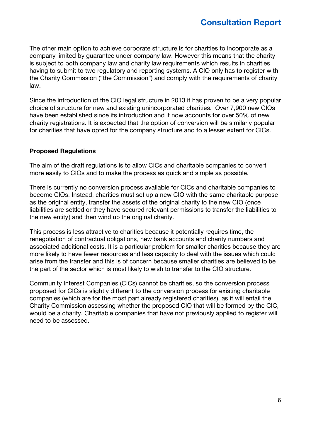The other main option to achieve corporate structure is for charities to incorporate as a company limited by guarantee under company law. However this means that the charity is subject to both company law and charity law requirements which results in charities having to submit to two regulatory and reporting systems. A CIO only has to register with the Charity Commission ("the Commission") and comply with the requirements of charity law.

Since the introduction of the CIO legal structure in 2013 it has proven to be a very popular choice of structure for new and existing unincorporated charities. Over 7,900 new CIOs have been established since its introduction and it now accounts for over 50% of new charity registrations. It is expected that the option of conversion will be similarly popular for charities that have opted for the company structure and to a lesser extent for CICs.

#### **Proposed Regulations**

The aim of the draft regulations is to allow CICs and charitable companies to convert more easily to CIOs and to make the process as quick and simple as possible.

There is currently no conversion process available for CICs and charitable companies to become CIOs. Instead, charities must set up a new CIO with the same charitable purpose as the original entity, transfer the assets of the original charity to the new CIO (once liabilities are settled or they have secured relevant permissions to transfer the liabilities to the new entity) and then wind up the original charity.

This process is less attractive to charities because it potentially requires time, the renegotiation of contractual obligations, new bank accounts and charity numbers and associated additional costs. It is a particular problem for smaller charities because they are more likely to have fewer resources and less capacity to deal with the issues which could arise from the transfer and this is of concern because smaller charities are believed to be the part of the sector which is most likely to wish to transfer to the CIO structure.

Community Interest Companies (CICs) cannot be charities, so the conversion process proposed for CICs is slightly different to the conversion process for existing charitable companies (which are for the most part already registered charities), as it will entail the Charity Commission assessing whether the proposed CIO that will be formed by the CIC, would be a charity. Charitable companies that have not previously applied to register will need to be assessed.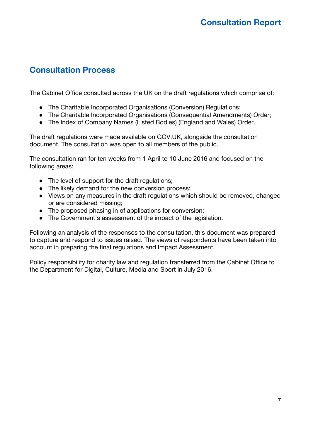# **Consultation Process**

The Cabinet Office consulted across the UK on the draft regulations which comprise of:

- The Charitable Incorporated Organisations (Conversion) Regulations;
- The Charitable Incorporated Organisations (Consequential Amendments) Order;
- The Index of Company Names (Listed Bodies) (England and Wales) Order.

The draft regulations were made available on GOV.UK, alongside the consultation document. The consultation was open to all members of the public.

The consultation ran for ten weeks from 1 April to 10 June 2016 and focused on the following areas:

- The level of support for the draft regulations;
- The likely demand for the new conversion process;
- Views on any measures in the draft regulations which should be removed, changed or are considered missing;
- The proposed phasing in of applications for conversion;
- The Government's assessment of the impact of the legislation.

Following an analysis of the responses to the consultation, this document was prepared to capture and respond to issues raised. The views of respondents have been taken into account in preparing the final regulations and Impact Assessment.

Policy responsibility for charity law and regulation transferred from the Cabinet Office to the Department for Digital, Culture, Media and Sport in July 2016.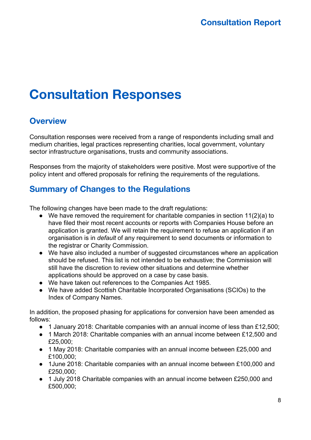# **Consultation Responses**

# **Overview**

Consultation responses were received from a range of respondents including small and medium charities, legal practices representing charities, local government, voluntary sector infrastructure organisations, trusts and community associations.

Responses from the majority of stakeholders were positive. Most were supportive of the policy intent and offered proposals for refining the requirements of the regulations.

# **Summary of Changes to the Regulations**

The following changes have been made to the draft regulations:

- **●** We have removed the requirement for charitable companies in section 11(2)(a) to have filed their most recent accounts or reports with Companies House before an application is granted. We will retain the requirement to refuse an application if an organisation is in *default* of any requirement to send documents or information to the registrar or Charity Commission.
- **●** We have also included a number of suggested circumstances where an application should be refused. This list is not intended to be exhaustive; the Commission will still have the discretion to review other situations and determine whether applications should be approved on a case by case basis.
- We have taken out references to the Companies Act 1985.
- We have added Scottish Charitable Incorporated Organisations (SCIOs) to the Index of Company Names.

In addition, the proposed phasing for applications for conversion have been amended as follows:

- 1 January 2018: Charitable companies with an annual income of less than £12,500;
- 1 March 2018: Charitable companies with an annual income between £12,500 and £25,000;
- 1 May 2018: Charitable companies with an annual income between £25,000 and £100,000;
- 1June 2018: Charitable companies with an annual income between £100,000 and £250,000;
- 1 July 2018 Charitable companies with an annual income between £250,000 and £500,000;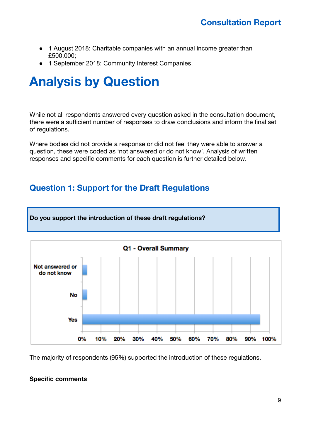- 1 August 2018: Charitable companies with an annual income greater than £500,000;
- 1 September 2018: Community Interest Companies.

# **Analysis by Question**

While not all respondents answered every question asked in the consultation document, there were a sufficient number of responses to draw conclusions and inform the final set of regulations.

Where bodies did not provide a response or did not feel they were able to answer a question, these were coded as 'not answered or do not know'. Analysis of written responses and specific comments for each question is further detailed below.

# **Question 1: Support for the Draft Regulations**



The majority of respondents (95%) supported the introduction of these regulations.

#### **Specific comments**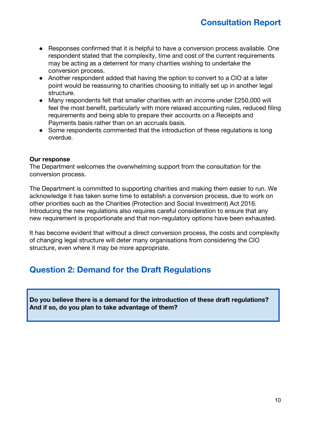- Responses confirmed that it is helpful to have a conversion process available. One respondent stated that the complexity, time and cost of the current requirements may be acting as a deterrent for many charities wishing to undertake the conversion process.
- Another respondent added that having the option to convert to a CIO at a later point would be reassuring to charities choosing to initially set up in another legal structure.
- Many respondents felt that smaller charities with an income under £250,000 will feel the most benefit, particularly with more relaxed accounting rules, reduced filing requirements and being able to prepare their accounts on a Receipts and Payments basis rather than on an accruals basis.
- Some respondents commented that the introduction of these regulations is long overdue.

#### **Our response**

The Department welcomes the overwhelming support from the consultation for the conversion process.

The Department is committed to supporting charities and making them easier to run. We acknowledge it has taken some time to establish a conversion process, due to work on other priorities such as the Charities (Protection and Social Investment) Act 2016. Introducing the new regulations also requires careful consideration to ensure that any new requirement is proportionate and that non-regulatory options have been exhausted.

It has become evident that without a direct conversion process, the costs and complexity of changing legal structure will deter many organisations from considering the CIO structure, even where it may be more appropriate.

# **Question 2: Demand for the Draft Regulations**

**Do you believe there is a demand for the introduction of these draft regulations? And if so, do you plan to take advantage of them?**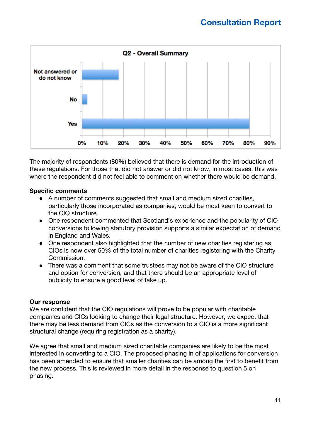

The majority of respondents (80%) believed that there is demand for the introduction of these regulations. For those that did not answer or did not know, in most cases, this was where the respondent did not feel able to comment on whether there would be demand.

#### **Specific comments**

- A number of comments suggested that small and medium sized charities, particularly those incorporated as companies, would be most keen to convert to the CIO structure.
- One respondent commented that Scotland's experience and the popularity of CIO conversions following statutory provision supports a similar expectation of demand in England and Wales.
- One respondent also highlighted that the number of new charities registering as CIOs is now over 50% of the total number of charities registering with the Charity Commission.
- There was a comment that some trustees may not be aware of the CIO structure and option for conversion, and that there should be an appropriate level of publicity to ensure a good level of take up.

#### **Our response**

We are confident that the CIO regulations will prove to be popular with charitable companies and CICs looking to change their legal structure. However, we expect that there may be less demand from CICs as the conversion to a CIO is a more significant structural change (requiring registration as a charity).

We agree that small and medium sized charitable companies are likely to be the most interested in converting to a CIO. The proposed phasing in of applications for conversion has been amended to ensure that smaller charities can be among the first to benefit from the new process. This is reviewed in more detail in the response to question 5 on phasing.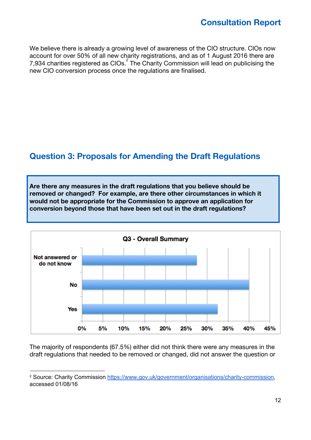We believe there is already a growing level of awareness of the CIO structure. CIOs now account for over 50% of all new charity registrations, and as of 1 August 2016 there are 7,934 charities registered as  $COS<sup>2</sup>$  The Charity Commission will lead on publicising the new CIO conversion process once the regulations are finalised.

# **Question 3: Proposals for Amending the Draft Regulations**

**Are there any measures in the draft regulations that you believe should be removed or changed? For example, are there other circumstances in which it would not be appropriate for the Commission to approve an application for conversion beyond those that have been set out in the draft regulations?**



The majority of respondents (67.5%) either did not think there were any measures in the draft regulations that needed to be removed or changed, did not answer the question or

<sup>&</sup>lt;sup>2</sup> Source: Charity Commission <https://www.gov.uk/government/organisations/charity-commission>, accessed 01/08/16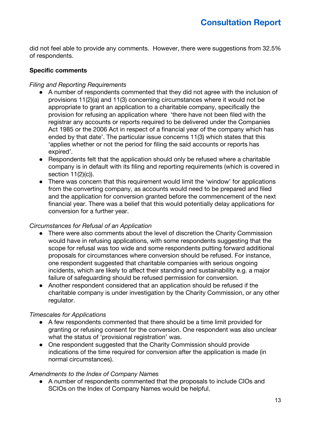did not feel able to provide any comments. However, there were suggestions from 32.5% of respondents.

#### **Specific comments**

#### *Filing and Reporting Requirements*

- A number of respondents commented that they did not agree with the inclusion of provisions 11(2)(a) and 11(3) concerning circumstances where it would not be appropriate to grant an application to a charitable company, specifically the provision for refusing an application where 'there have not been filed with the registrar any accounts or reports required to be delivered under the Companies Act 1985 or the 2006 Act in respect of a financial year of the company which has ended by that date'. The particular issue concerns 11(3) which states that this 'applies whether or not the period for filing the said accounts or reports has expired'.
- Respondents felt that the application should only be refused where a charitable company is in default with its filing and reporting requirements (which is covered in section 11(2)(c)).
- There was concern that this requirement would limit the 'window' for applications from the converting company, as accounts would need to be prepared and filed and the application for conversion granted before the commencement of the next financial year. There was a belief that this would potentially delay applications for conversion for a further year.

#### *Circumstances for Refusal of an Application*

- There were also comments about the level of discretion the Charity Commission would have in refusing applications, with some respondents suggesting that the scope for refusal was too wide and some respondents putting forward additional proposals for circumstances where conversion should be refused. For instance, one respondent suggested that charitable companies with serious ongoing incidents, which are likely to affect their standing and sustainability e.g. a major failure of safeguarding should be refused permission for conversion.
- Another respondent considered that an application should be refused if the charitable company is under investigation by the Charity Commission, or any other regulator.

#### *Timescales for Applications*

- A few respondents commented that there should be a time limit provided for granting or refusing consent for the conversion. One respondent was also unclear what the status of 'provisional registration' was.
- One respondent suggested that the Charity Commission should provide indications of the time required for conversion after the application is made (in normal circumstances).

#### *Amendments to the Index of Company Names*

● A number of respondents commented that the proposals to include CIOs and SCIOs on the Index of Company Names would be helpful.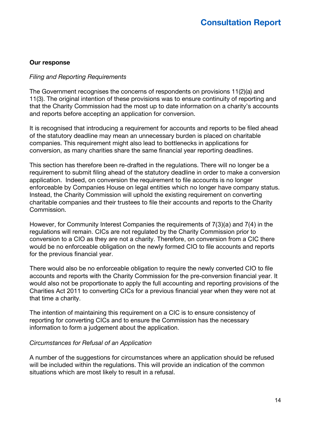#### **Our response**

#### *Filing and Reporting Requirements*

The Government recognises the concerns of respondents on provisions 11(2)(a) and 11(3). The original intention of these provisions was to ensure continuity of reporting and that the Charity Commission had the most up to date information on a charity's accounts and reports before accepting an application for conversion.

It is recognised that introducing a requirement for accounts and reports to be filed ahead of the statutory deadline may mean an unnecessary burden is placed on charitable companies. This requirement might also lead to bottlenecks in applications for conversion, as many charities share the same financial year reporting deadlines.

This section has therefore been re-drafted in the regulations. There will no longer be a requirement to submit filing ahead of the statutory deadline in order to make a conversion application. Indeed, on conversion the requirement to file accounts is no longer enforceable by Companies House on legal entities which no longer have company status. Instead, the Charity Commission will uphold the existing requirement on converting charitable companies and their trustees to file their accounts and reports to the Charity Commission.

However, for Community Interest Companies the requirements of 7(3)(a) and 7(4) in the regulations will remain. CICs are not regulated by the Charity Commission prior to conversion to a CIO as they are not a charity. Therefore, on conversion from a CIC there would be no enforceable obligation on the newly formed CIO to file accounts and reports for the previous financial year.

There would also be no enforceable obligation to require the newly converted CIO to file accounts and reports with the Charity Commission for the pre-conversion financial year. It would also not be proportionate to apply the full accounting and reporting provisions of the Charities Act 2011 to converting CICs for a previous financial year when they were not at that time a charity.

The intention of maintaining this requirement on a CIC is to ensure consistency of reporting for converting CICs and to ensure the Commission has the necessary information to form a judgement about the application.

#### *Circumstances for Refusal of an Application*

A number of the suggestions for circumstances where an application should be refused will be included within the regulations. This will provide an indication of the common situations which are most likely to result in a refusal.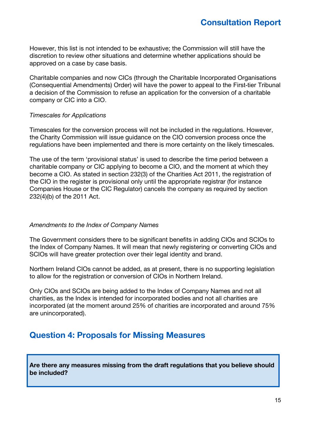However, this list is not intended to be exhaustive; the Commission will still have the discretion to review other situations and determine whether applications should be approved on a case by case basis.

Charitable companies and now CICs (through the Charitable Incorporated Organisations (Consequential Amendments) Order) will have the power to appeal to the First-tier Tribunal a decision of the Commission to refuse an application for the conversion of a charitable company or CIC into a CIO.

#### *Timescales for Applications*

Timescales for the conversion process will not be included in the regulations. However, the Charity Commission will issue guidance on the CIO conversion process once the regulations have been implemented and there is more certainty on the likely timescales.

The use of the term 'provisional status' is used to describe the time period between a charitable company or CIC applying to become a CIO, and the moment at which they become a CIO. As stated in section 232(3) of the Charities Act 2011, the registration of the CIO in the register is provisional only until the appropriate registrar (for instance Companies House or the CIC Regulator) cancels the company as required by section 232(4)(b) of the 2011 Act.

#### *Amendments to the Index of Company Names*

The Government considers there to be significant benefits in adding CIOs and SCIOs to the Index of Company Names. It will mean that newly registering or converting CIOs and SCIOs will have greater protection over their legal identity and brand.

Northern Ireland CIOs cannot be added, as at present, there is no supporting legislation to allow for the registration or conversion of CIOs in Northern Ireland.

Only CIOs and SCIOs are being added to the Index of Company Names and not all charities, as the Index is intended for incorporated bodies and not all charities are incorporated (at the moment around 25% of charities are incorporated and around 75% are unincorporated).

### **Question 4: Proposals for Missing Measures**

**Are there any measures missing from the draft regulations that you believe should be included?**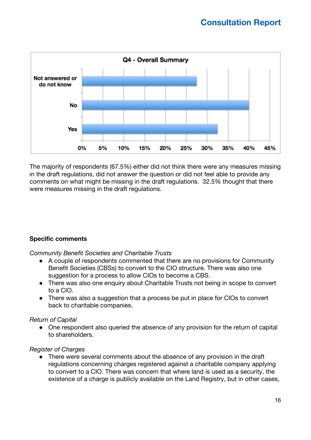

The majority of respondents (67.5%) either did not think there were any measures missing in the draft regulations, did not answer the question or did not feel able to provide any comments on what might be missing in the draft regulations. 32.5% thought that there were measures missing in the draft regulations.

#### **Specific comments**

#### *Community Benefit Societies and Charitable Trusts*

- A couple of respondents commented that there are no provisions for Community Benefit Societies (CBSs) to convert to the CIO structure. There was also one suggestion for a process to allow CIOs to become a CBS.
- There was also one enquiry about Charitable Trusts not being in scope to convert to a CIO.
- There was also a suggestion that a process be put in place for CIOs to convert back to charitable companies.

#### *Return of Capital*

• One respondent also queried the absence of any provision for the return of capital to shareholders.

#### *Register of Charges*

There were several comments about the absence of any provision in the draft regulations concerning charges registered against a charitable company applying to convert to a CIO. There was concern that where land is used as a security, the existence of a charge is publicly available on the Land Registry, but in other cases,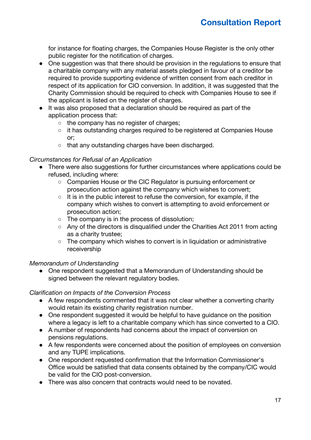for instance for floating charges, the Companies House Register is the only other public register for the notification of charges.

- One suggestion was that there should be provision in the regulations to ensure that a charitable company with any material assets pledged in favour of a creditor be required to provide supporting evidence of written consent from each creditor in respect of its application for CIO conversion. In addition, it was suggested that the Charity Commission should be required to check with Companies House to see if the applicant is listed on the register of charges.
- It was also proposed that a declaration should be required as part of the application process that:
	- the company has no register of charges;
	- it has outstanding charges required to be registered at Companies House or;
	- that any outstanding charges have been discharged.

#### *Circumstances for Refusal of an Application*

- There were also suggestions for further circumstances where applications could be refused, including where:
	- Companies House or the CIC Regulator is pursuing enforcement or prosecution action against the company which wishes to convert;
	- It is in the public interest to refuse the conversion, for example, if the company which wishes to convert is attempting to avoid enforcement or prosecution action;
	- The company is in the process of dissolution;
	- Any of the directors is disqualified under the Charities Act 2011 from acting as a charity trustee;
	- The company which wishes to convert is in liquidation or administrative receivership

#### *Memorandum of Understanding*

● One respondent suggested that a Memorandum of Understanding should be signed between the relevant regulatory bodies.

#### *Clarification on Impacts of the Conversion Process*

- A few respondents commented that it was not clear whether a converting charity would retain its existing charity registration number.
- One respondent suggested it would be helpful to have guidance on the position where a legacy is left to a charitable company which has since converted to a CIO.
- A number of respondents had concerns about the impact of conversion on pensions regulations.
- A few respondents were concerned about the position of employees on conversion and any TUPE implications.
- One respondent requested confirmation that the Information Commissioner's Office would be satisfied that data consents obtained by the company/CIC would be valid for the CIO post-conversion.
- There was also concern that contracts would need to be novated.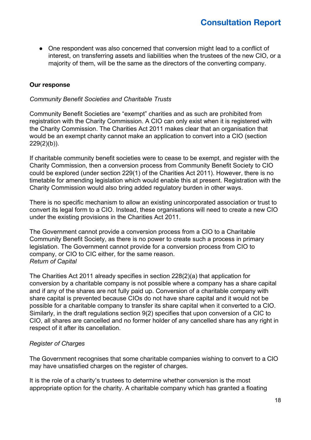● One respondent was also concerned that conversion might lead to a conflict of interest, on transferring assets and liabilities when the trustees of the new CIO, or a majority of them, will be the same as the directors of the converting company.

#### **Our response**

#### *Community Benefit Societies and Charitable Trusts*

Community Benefit Societies are "exempt" charities and as such are prohibited from registration with the Charity Commission. A CIO can only exist when it is registered with the Charity Commission. The Charities Act 2011 makes clear that an organisation that would be an exempt charity cannot make an application to convert into a CIO (section 229(2)(b)).

If charitable community benefit societies were to cease to be exempt, and register with the Charity Commission, then a conversion process from Community Benefit Society to CIO could be explored (under section 229(1) of the Charities Act 2011). However, there is no timetable for amending legislation which would enable this at present. Registration with the Charity Commission would also bring added regulatory burden in other ways.

There is no specific mechanism to allow an existing unincorporated association or trust to convert its legal form to a CIO. Instead, these organisations will need to create a new CIO under the existing provisions in the Charities Act 2011.

The Government cannot provide a conversion process from a CIO to a Charitable Community Benefit Society, as there is no power to create such a process in primary legislation. The Government cannot provide for a conversion process from CIO to company, or CIO to CIC either, for the same reason. *Return of Capital*

The Charities Act 2011 already specifies in section 228(2)(a) that application for conversion by a charitable company is not possible where a company has a share capital and if any of the shares are not fully paid up. Conversion of a charitable company with share capital is prevented because CIOs do not have share capital and it would not be possible for a charitable company to transfer its share capital when it converted to a CIO. Similarly, in the draft regulations section 9(2) specifies that upon conversion of a CIC to CIO, all shares are cancelled and no former holder of any cancelled share has any right in respect of it after its cancellation.

#### *Register of Charges*

The Government recognises that some charitable companies wishing to convert to a CIO may have unsatisfied charges on the register of charges.

It is the role of a charity's trustees to determine whether conversion is the most appropriate option for the charity. A charitable company which has granted a floating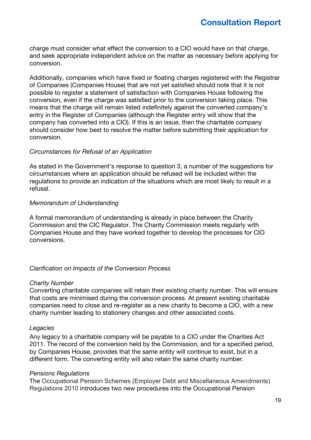charge must consider what effect the conversion to a CIO would have on that charge, and seek appropriate independent advice on the matter as necessary before applying for conversion.

Additionally, companies which have fixed or floating charges registered with the Registrar of Companies (Companies House) that are not yet satisfied should note that it is not possible to register a statement of satisfaction with Companies House following the conversion, even if the charge was satisfied prior to the conversion taking place. This means that the charge will remain listed indefinitely against the converted company's entry in the Register of Companies (although the Register entry will show that the company has converted into a CIO). If this is an issue, then the charitable company should consider how best to resolve the matter before submitting their application for conversion.

#### *Circumstances for Refusal of an Application*

As stated in the Government's response to question 3, a number of the suggestions for circumstances where an application should be refused will be included within the regulations to provide an indication of the situations which are most likely to result in a refusal.

#### *Memorandum of Understanding*

A formal memorandum of understanding is already in place between the Charity Commission and the CIC Regulator. The Charity Commission meets regularly with Companies House and they have worked together to develop the processes for CIO conversions.

#### *Clarification on Impacts of the Conversion Process*

#### *Charity Number*

Converting charitable companies will retain their existing charity number. This will ensure that costs are minimised during the conversion process. At present existing charitable companies need to close and re-register as a new charity to become a CIO, with a new charity number leading to stationery changes and other associated costs.

#### *Legacies*

Any legacy to a charitable company will be payable to a CIO under the Charities Act 2011. The record of the conversion held by the Commission, and for a specified period, by Companies House, provides that the same entity will continue to exist, but in a different form. The converting entity will also retain the same charity number.

#### *Pensions Regulations*

The Occupational Pension Schemes (Employer Debt and Miscellaneous Amendments) Regulations 2010 introduces two new procedures into the Occupational Pension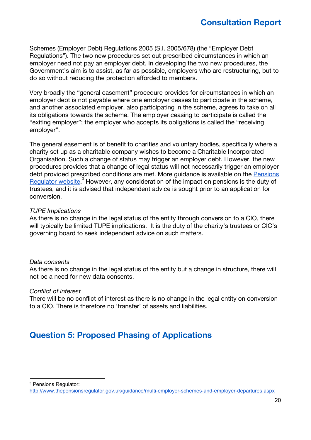Schemes (Employer Debt) Regulations 2005 (S.I. 2005/678) (the "Employer Debt Regulations"). The two new procedures set out prescribed circumstances in which an employer need not pay an employer debt. In developing the two new procedures, the Government's aim is to assist, as far as possible, employers who are restructuring, but to do so without reducing the protection afforded to members.

Very broadly the "general easement" procedure provides for circumstances in which an employer debt is not payable where one employer ceases to participate in the scheme, and another associated employer, also participating in the scheme, agrees to take on all its obligations towards the scheme. The employer ceasing to participate is called the "exiting employer"; the employer who accepts its obligations is called the "receiving employer".

The general easement is of benefit to charities and voluntary bodies, specifically where a charity set up as a charitable company wishes to become a Charitable Incorporated Organisation. Such a change of status may trigger an employer debt. However, the new procedures provides that a change of legal status will not necessarily trigger an employer debt provided prescribed conditions are met. More guidance is available on the [Pensions](http://www.thepensionsregulator.gov.uk/guidance/multi-employer-schemes-and-employer-departures.aspx) [Regulator](http://www.thepensionsregulator.gov.uk/guidance/multi-employer-schemes-and-employer-departures.aspx) website.<sup>3</sup> However, any consideration of the impact on pensions is the duty of trustees, and it is advised that independent advice is sought prior to an application for conversion.

#### *TUPE Implications*

As there is no change in the legal status of the entity through conversion to a CIO, there will typically be limited TUPE implications. It is the duty of the charity's trustees or CIC's governing board to seek independent advice on such matters.

#### *Data consents*

As there is no change in the legal status of the entity but a change in structure, there will not be a need for new data consents.

#### *Conflict of interest*

There will be no conflict of interest as there is no change in the legal entity on conversion to a CIO. There is therefore no 'transfer' of assets and liabilities.

# **Question 5: Proposed Phasing of Applications**

<sup>3</sup> Pensions Regulator:

<http://www.thepensionsregulator.gov.uk/guidance/multi-employer-schemes-and-employer-departures.aspx>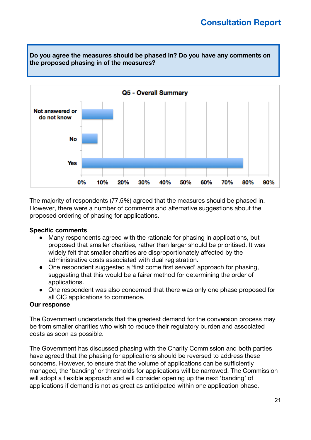**Do you agree the measures should be phased in? Do you have any comments on the proposed phasing in of the measures?**



The majority of respondents (77.5%) agreed that the measures should be phased in. However, there were a number of comments and alternative suggestions about the proposed ordering of phasing for applications.

#### **Specific comments**

- Many respondents agreed with the rationale for phasing in applications, but proposed that smaller charities, rather than larger should be prioritised. It was widely felt that smaller charities are disproportionately affected by the administrative costs associated with dual registration.
- One respondent suggested a 'first come first served' approach for phasing, suggesting that this would be a fairer method for determining the order of applications.
- One respondent was also concerned that there was only one phase proposed for all CIC applications to commence.

#### **Our response**

The Government understands that the greatest demand for the conversion process may be from smaller charities who wish to reduce their regulatory burden and associated costs as soon as possible.

The Government has discussed phasing with the Charity Commission and both parties have agreed that the phasing for applications should be reversed to address these concerns. However, to ensure that the volume of applications can be sufficiently managed, the 'banding' or thresholds for applications will be narrowed. The Commission will adopt a flexible approach and will consider opening up the next 'banding' of applications if demand is not as great as anticipated within one application phase.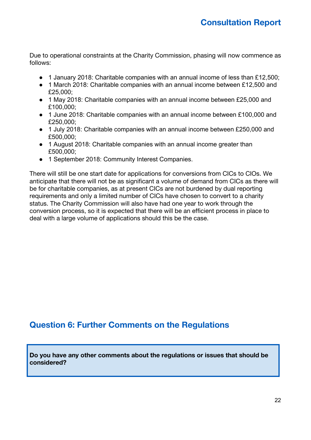Due to operational constraints at the Charity Commission, phasing will now commence as follows:

- 1 January 2018: Charitable companies with an annual income of less than £12,500;
- 1 March 2018: Charitable companies with an annual income between £12,500 and £25,000;
- 1 May 2018: Charitable companies with an annual income between £25,000 and £100,000;
- 1 June 2018: Charitable companies with an annual income between £100,000 and £250,000;
- 1 July 2018: Charitable companies with an annual income between £250,000 and £500,000;
- 1 August 2018: Charitable companies with an annual income greater than £500,000;
- 1 September 2018: Community Interest Companies.

There will still be one start date for applications for conversions from CICs to CIOs. We anticipate that there will not be as significant a volume of demand from CICs as there will be for charitable companies, as at present CICs are not burdened by dual reporting requirements and only a limited number of CICs have chosen to convert to a charity status. The Charity Commission will also have had one year to work through the conversion process, so it is expected that there will be an efficient process in place to deal with a large volume of applications should this be the case.

# **Question 6: Further Comments on the Regulations**

**Do you have any other comments about the regulations or issues that should be considered?**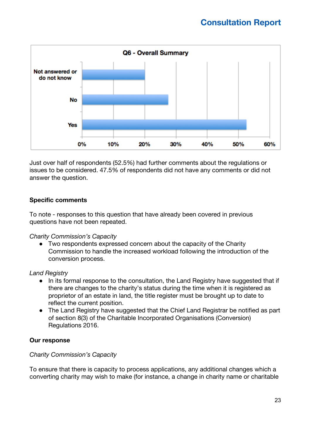

Just over half of respondents (52.5%) had further comments about the regulations or issues to be considered. 47.5% of respondents did not have any comments or did not answer the question.

#### **Specific comments**

To note - responses to this question that have already been covered in previous questions have not been repeated.

*Charity Commission's Capacity*

● Two respondents expressed concern about the capacity of the Charity Commission to handle the increased workload following the introduction of the conversion process.

#### *Land Registry*

- In its formal response to the consultation, the Land Registry have suggested that if there are changes to the charity's status during the time when it is registered as proprietor of an estate in land, the title register must be brought up to date to reflect the current position.
- The Land Registry have suggested that the Chief Land Registrar be notified as part of section 8(3) of the Charitable Incorporated Organisations (Conversion) Regulations 2016.

#### **Our response**

#### *Charity Commission's Capacity*

To ensure that there is capacity to process applications, any additional changes which a converting charity may wish to make (for instance, a change in charity name or charitable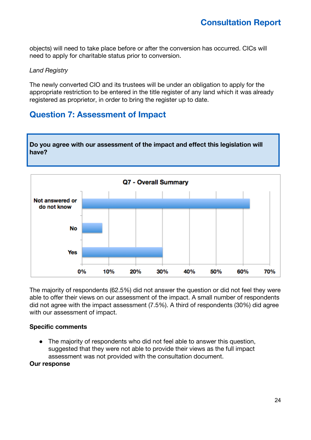objects) will need to take place before or after the conversion has occurred. CICs will need to apply for charitable status prior to conversion.

#### *Land Registry*

The newly converted CIO and its trustees will be under an obligation to apply for the appropriate restriction to be entered in the title register of any land which it was already registered as proprietor, in order to bring the register up to date.

### **Question 7: Assessment of Impact**





The majority of respondents (62.5%) did not answer the question or did not feel they were able to offer their views on our assessment of the impact. A small number of respondents did not agree with the impact assessment (7.5%). A third of respondents (30%) did agree with our assessment of impact.

#### **Specific comments**

● The majority of respondents who did not feel able to answer this question, suggested that they were not able to provide their views as the full impact assessment was not provided with the consultation document.

#### **Our response**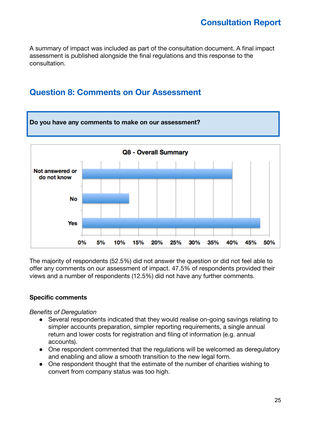A summary of impact was included as part of the consultation document. A final impact assessment is published alongside the final regulations and this response to the consultation.

### **Question 8: Comments on Our Assessment**



The majority of respondents (52.5%) did not answer the question or did not feel able to offer any comments on our assessment of impact. 47.5% of respondents provided their views and a number of respondents (12.5%) did not have any further comments.

#### **Specific comments**

*Benefits of Deregulation*

- Several respondents indicated that they would realise on-going savings relating to simpler accounts preparation, simpler reporting requirements, a single annual return and lower costs for registration and filing of information (e.g. annual accounts).
- One respondent commented that the regulations will be welcomed as deregulatory and enabling and allow a smooth transition to the new legal form.
- One respondent thought that the estimate of the number of charities wishing to convert from company status was too high.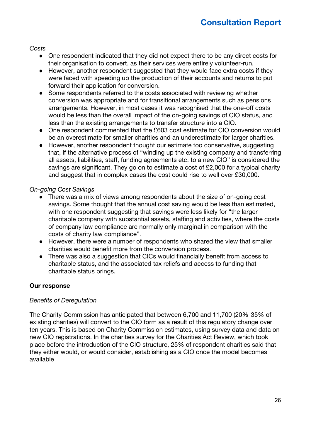*Costs*

- One respondent indicated that they did not expect there to be any direct costs for their organisation to convert, as their services were entirely volunteer-run.
- However, another respondent suggested that they would face extra costs if they were faced with speeding up the production of their accounts and returns to put forward their application for conversion.
- Some respondents referred to the costs associated with reviewing whether conversion was appropriate and for transitional arrangements such as pensions arrangements. However, in most cases it was recognised that the one-off costs would be less than the overall impact of the on-going savings of CIO status, and less than the existing arrangements to transfer structure into a CIO.
- One respondent commented that the £603 cost estimate for CIO conversion would be an overestimate for smaller charities and an underestimate for larger charities.
- However, another respondent thought our estimate too conservative, suggesting that, if the alternative process of "winding up the existing company and transferring all assets, liabilities, staff, funding agreements etc. to a new CIO" is considered the savings are significant. They go on to estimate a cost of £2,000 for a typical charity and suggest that in complex cases the cost could rise to well over £30,000.

#### *On-going Cost Savings*

- There was a mix of views among respondents about the size of on-going cost savings. Some thought that the annual cost saving would be less than estimated, with one respondent suggesting that savings were less likely for "the larger charitable company with substantial assets, staffing and activities, where the costs of company law compliance are normally only marginal in comparison with the costs of charity law compliance".
- However, there were a number of respondents who shared the view that smaller charities would benefit more from the conversion process.
- There was also a suggestion that CICs would financially benefit from access to charitable status, and the associated tax reliefs and access to funding that charitable status brings.

#### **Our response**

#### *Benefits of Deregulation*

The Charity Commission has anticipated that between 6,700 and 11,700 (20%-35% of existing charities) will convert to the CIO form as a result of this regulatory change over ten years. This is based on Charity Commission estimates, using survey data and data on new CIO registrations. In the charities survey for the Charities Act Review, which took place before the introduction of the CIO structure, 25% of respondent charities said that they either would, or would consider, establishing as a CIO once the model becomes available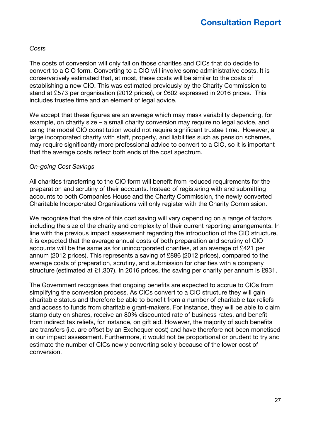#### *Costs*

The costs of conversion will only fall on those charities and CICs that do decide to convert to a CIO form. Converting to a CIO will involve some administrative costs. It is conservatively estimated that, at most, these costs will be similar to the costs of establishing a new CIO. This was estimated previously by the Charity Commission to stand at £573 per organisation (2012 prices), or £602 expressed in 2016 prices. This includes trustee time and an element of legal advice.

We accept that these figures are an average which may mask variability depending, for example, on charity size – a small charity conversion may require no legal advice, and using the model CIO constitution would not require significant trustee time. However, a large incorporated charity with staff, property, and liabilities such as pension schemes, may require significantly more professional advice to convert to a CIO, so it is important that the average costs reflect both ends of the cost spectrum.

#### *On-going Cost Savings*

All charities transferring to the CIO form will benefit from reduced requirements for the preparation and scrutiny of their accounts. Instead of registering with and submitting accounts to both Companies House and the Charity Commission, the newly converted Charitable Incorporated Organisations will only register with the Charity Commission.

We recognise that the size of this cost saving will vary depending on a range of factors including the size of the charity and complexity of their current reporting arrangements. In line with the previous impact assessment regarding the introduction of the CIO structure, it is expected that the average annual costs of both preparation and scrutiny of CIO accounts will be the same as for unincorporated charities, at an average of £421 per annum (2012 prices). This represents a saving of £886 (2012 prices), compared to the average costs of preparation, scrutiny, and submission for charities with a company structure (estimated at £1,307). In 2016 prices, the saving per charity per annum is £931.

The Government recognises that ongoing benefits are expected to accrue to CICs from simplifying the conversion process. As CICs convert to a CIO structure they will gain charitable status and therefore be able to benefit from a number of charitable tax reliefs and access to funds from charitable grant-makers. For instance, they will be able to claim stamp duty on shares, receive an 80% discounted rate of business rates, and benefit from indirect tax reliefs, for instance, on gift aid. However, the majority of such benefits are transfers (i.e. are offset by an Exchequer cost) and have therefore not been monetised in our impact assessment. Furthermore, it would not be proportional or prudent to try and estimate the number of CICs newly converting solely because of the lower cost of conversion.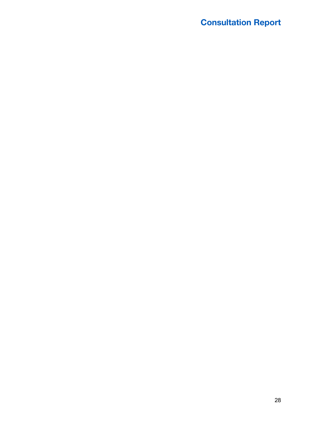# **Consultation Report**